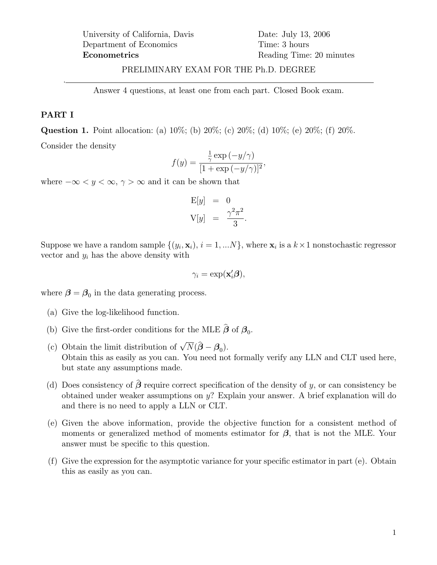## PRELIMINARY EXAM FOR THE Ph.D. DEGREE

Answer 4 questions, at least one from each part. Closed Book exam.

#### PART I

.

Question 1. Point allocation: (a) 10%; (b) 20%; (c) 20%; (d) 10%; (e) 20%; (f) 20%.

Consider the density

$$
f(y) = \frac{\frac{1}{\gamma} \exp(-y/\gamma)}{[1 + \exp(-y/\gamma)]^2},
$$

where  $-\infty < y < \infty$ ,  $\gamma > \infty$  and it can be shown that

$$
\begin{aligned}\n\mathbf{E}[y] &= 0\\ \n\mathbf{V}[y] &= \frac{\gamma^2 \pi^2}{3}.\n\end{aligned}
$$

Suppose we have a random sample  $\{(y_i, \mathbf{x}_i), i = 1, ...N\}$ , where  $\mathbf{x}_i$  is a  $k \times 1$  nonstochastic regressor vector and  $y_i$  has the above density with

$$
\gamma_i = \exp(\mathbf{x}_i'\boldsymbol{\beta}),
$$

where  $\beta = \beta_0$  in the data generating process.

- (a) Give the log-likelihood function.
- (b) Give the first-order conditions for the MLE  $\beta$  of  $\beta_0$ .
- (c) Obtain the limit distribution of  $\sqrt{N}(\hat{\boldsymbol{\beta}} \boldsymbol{\beta}_0)$ . Obtain this as easily as you can. You need not formally verify any LLN and CLT used here, but state any assumptions made.
- (d) Does consistency of  $\hat{\beta}$  require correct specification of the density of y, or can consistency be obtained under weaker assumptions on y? Explain your answer. A brief explanation will do and there is no need to apply a LLN or CLT.
- (e) Given the above information, provide the objective function for a consistent method of moments or generalized method of moments estimator for  $\beta$ , that is not the MLE. Your answer must be specific to this question.
- (f) Give the expression for the asymptotic variance for your specic estimator in part (e). Obtain this as easily as you can.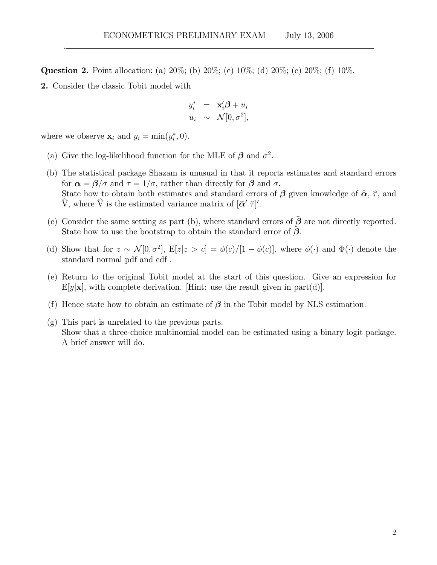Question 2. Point allocation: (a) 20%; (b) 20%; (c) 10%; (d) 20%; (e) 20%; (f) 10%.

2. Consider the classic Tobit model with

.

$$
y_i^* = \mathbf{x}_i' \boldsymbol{\beta} + u_i
$$
  

$$
u_i \sim \mathcal{N}[0, \sigma^2],
$$

where we observe  $\mathbf{x}_i$  and  $y_i = \min(y_i^*, 0)$ .

- (a) Give the log-likelihood function for the MLE of  $\beta$  and  $\sigma^2$ .
- (b) The statistical package Shazam is unusual in that it reports estimates and standard errors for  $\alpha = \beta/\sigma$  and  $\tau = 1/\sigma$ , rather than directly for  $\beta$  and  $\sigma$ . State how to obtain both estimates and standard errors of  $\beta$  given knowledge of  $\hat{\alpha}$ ,  $\hat{\tau}$ , and V, where V is the estimated variance matrix of  $[{\hat \alpha}' \hat \tau]'$ .
- (c) Consider the same setting as part (b), where standard errors of  $\hat{\beta}$  are not directly reported. State how to use the bootstrap to obtain the standard error of  $\hat{\beta}$ .
- (d) Show that for  $z \sim \mathcal{N}[0, \sigma^2]$ ,  $E[z|z > c] = \phi(c)/[1 \phi(c)]$ , where  $\phi(\cdot)$  and  $\Phi(\cdot)$  denote the standard normal pdf and cdf .
- (e) Return to the original Tobit model at the start of this question. Give an expression for  $E[y|\mathbf{x}]$ , with complete derivation. [Hint: use the result given in part(d)].
- (f) Hence state how to obtain an estimate of  $\beta$  in the Tobit model by NLS estimation.
- (g) This part is unrelated to the previous parts. Show that a three-choice multinomial model can be estimated using a binary logit package. A brief answer will do.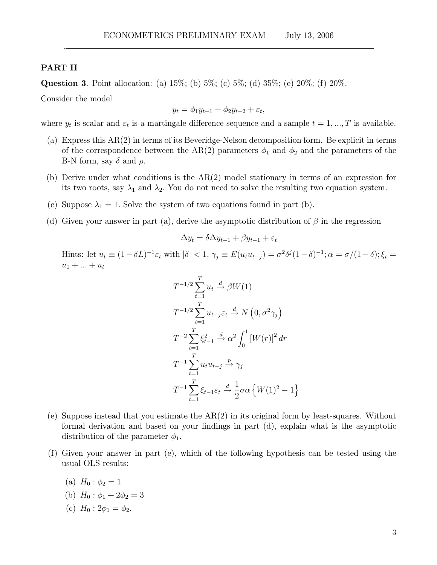#### PART II

.

Question 3. Point allocation: (a)  $15\%$ ; (b)  $5\%$ ; (c)  $5\%$ ; (d)  $35\%$ ; (e)  $20\%$ ; (f)  $20\%$ .

Consider the model

$$
y_t = \phi_1 y_{t-1} + \phi_2 y_{t-2} + \varepsilon_t,
$$

where  $y_t$  is scalar and  $\varepsilon_t$  is a martingale difference sequence and a sample  $t = 1, ..., T$  is available.

- (a) Express this AR(2) in terms of its Beveridge-Nelson decomposition form. Be explicit in terms of the correspondence between the AR(2) parameters  $\phi_1$  and  $\phi_2$  and the parameters of the B-N form, say  $\delta$  and  $\rho$ .
- (b) Derive under what conditions is the AR(2) model stationary in terms of an expression for its two roots, say  $\lambda_1$  and  $\lambda_2$ . You do not need to solve the resulting two equation system.
- (c) Suppose  $\lambda_1 = 1$ . Solve the system of two equations found in part (b).
- (d) Given your answer in part (a), derive the asymptotic distribution of  $\beta$  in the regression

$$
\Delta y_t = \delta \Delta y_{t-1} + \beta y_{t-1} + \varepsilon_t
$$

Hints: let  $u_t \equiv (1 - \delta L)^{-1} \varepsilon_t$  with  $|\delta| < 1$ ,  $\gamma_j \equiv E(u_t u_{t-j}) = \sigma^2 \delta^j (1 - \delta)^{-1}$ ;  $\alpha = \sigma/(1 - \delta)$ ;  $\xi_t =$  $u_1 + ... + u_t$ 

$$
T^{-1/2} \sum_{t=1}^{T} u_t \xrightarrow{d} \beta W(1)
$$
  
\n
$$
T^{-1/2} \sum_{t=1}^{T} u_{t-j} \varepsilon_t \xrightarrow{d} N(0, \sigma^2 \gamma_j)
$$
  
\n
$$
T^{-2} \sum_{t=1}^{T} \xi_{t-1}^2 \xrightarrow{d} \alpha^2 \int_0^1 [W(r)]^2 dr
$$
  
\n
$$
T^{-1} \sum_{t=1}^{T} u_t u_{t-j} \xrightarrow{p} \gamma_j
$$
  
\n
$$
T^{-1} \sum_{t=1}^{T} \xi_{t-1} \varepsilon_t \xrightarrow{d} \frac{1}{2} \sigma \alpha \{W(1)^2 - 1\}
$$

- (e) Suppose instead that you estimate the AR(2) in its original form by least-squares. Without formal derivation and based on your findings in part  $(d)$ , explain what is the asymptotic distribution of the parameter  $\phi_1$ .
- (f) Given your answer in part (e), which of the following hypothesis can be tested using the usual OLS results:
	- (a)  $H_0$ :  $\phi_2 = 1$
	- (b)  $H_0$ :  $\phi_1 + 2\phi_2 = 3$
	- (c)  $H_0$  :  $2\phi_1 = \phi_2$ .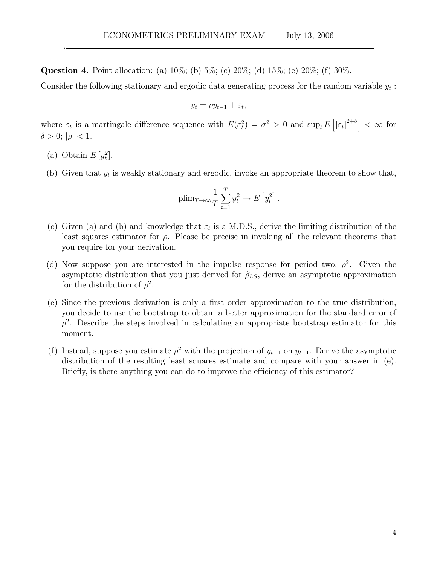Question 4. Point allocation: (a) 10%; (b) 5%; (c) 20%; (d) 15%; (e) 20%; (f) 30%.

Consider the following stationary and ergodic data generating process for the random variable  $y_t$ :

$$
y_t = \rho y_{t-1} + \varepsilon_t,
$$

where  $\varepsilon_t$  is a martingale difference sequence with  $E(\varepsilon_t^2) = \sigma^2 > 0$  and  $\sup_t E\left[|\varepsilon_t|^{2+\delta}\right] < \infty$  for  $\delta > 0$ ;  $|\rho| < 1$ .

(a) Obtain  $E[y_t^2]$ .

.

(b) Given that  $y_t$  is weakly stationary and ergodic, invoke an appropriate theorem to show that,

$$
\text{plim}_{T \to \infty} \frac{1}{T} \sum_{t=1}^{T} y_t^2 \to E\left[y_t^2\right].
$$

- (c) Given (a) and (b) and knowledge that  $\varepsilon_t$  is a M.D.S., derive the limiting distribution of the least squares estimator for  $\rho$ . Please be precise in invoking all the relevant theorems that you require for your derivation.
- (d) Now suppose you are interested in the impulse response for period two,  $\rho^2$ . Given the asymptotic distribution that you just derived for  $\hat{\rho}_{LS}$ , derive an asymptotic approximation for the distribution of  $\rho^2$ .
- $(e)$  Since the previous derivation is only a first order approximation to the true distribution, you decide to use the bootstrap to obtain a better approximation for the standard error of  $\rho^2$ . Describe the steps involved in calculating an appropriate bootstrap estimator for this moment.
- (f) Instead, suppose you estimate  $\rho^2$  with the projection of  $y_{t+1}$  on  $y_{t-1}$ . Derive the asymptotic distribution of the resulting least squares estimate and compare with your answer in (e). Briefly, is there anything you can do to improve the efficiency of this estimator?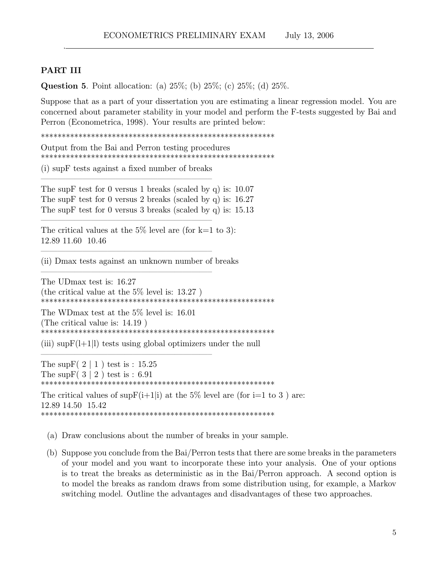# PART III

.

**Question 5.** Point allocation: (a)  $25\%$ ; (b)  $25\%$ ; (c)  $25\%$ ; (d)  $25\%$ .

Suppose that as a part of your dissertation you are estimating a linear regression model. You are concerned about parameter stability in your model and perform the F-tests suggested by Bai and Perron (Econometrica, 1998). Your results are printed below:

\*\*\*\*\*\*\*\*\*\*\*\*\*\*\*\*\*\*\*\*\*\*\*\*\*\*\*\*\*\*\*\*\*\*\*\*\*\*\*\*\*\*\*\*\*\*\*\*\*\*\*\*\*\*\*\*

Output from the Bai and Perron testing procedures \*\*\*\*\*\*\*\*\*\*\*\*\*\*\*\*\*\*\*\*\*\*\*\*\*\*\*\*\*\*\*\*\*\*\*\*\*\*\*\*\*\*\*\*\*\*\*\*\*\*\*\*\*\*\*\*

 $(i)$  sup F tests against a fixed number of breaks ||||||||||||||||||||{

||||||||||||||||||||{

||||||||||||||||||||{

||||||||||||||||||||{

||||||||||||||||||||{

The supF test for 0 versus 1 breaks (scaled by q) is: 10.07 The supF test for 0 versus 2 breaks (scaled by q) is: 16.27 The supF test for 0 versus 3 breaks (scaled by q) is: 15.13

The critical values at the  $5\%$  level are (for k=1 to 3): 12.89 11.60 10.46

(ii) Dmax tests against an unknown number of breaks

The UDmax test is: 16.27 (the critical value at the 5% level is: 13.27 ) \*\*\*\*\*\*\*\*\*\*\*\*\*\*\*\*\*\*\*\*\*\*\*\*\*\*\*\*\*\*\*\*\*\*\*\*\*\*\*\*\*\*\*\*\*\*\*\*\*\*\*\*\*\*\*\*

The WDmax test at the 5% level is: 16.01 (The critical value is: 14.19 ) \*\*\*\*\*\*\*\*\*\*\*\*\*\*\*\*\*\*\*\*\*\*\*\*\*\*\*\*\*\*\*\*\*\*\*\*\*\*\*\*\*\*\*\*\*\*\*\*\*\*\*\*\*\*\*\*

(iii)  $\sup F(1+1|1)$  tests using global optimizers under the null

The sup  $F(2 \mid 1)$  test is : 15.25 The sup  $F(3 | 2)$  test is : 6.91 \*\*\*\*\*\*\*\*\*\*\*\*\*\*\*\*\*\*\*\*\*\*\*\*\*\*\*\*\*\*\*\*\*\*\*\*\*\*\*\*\*\*\*\*\*\*\*\*\*\*\*\*\*\*\*\*

The critical values of  $\sup F(i+1|i)$  at the 5% level are (for i=1 to 3) are: 12.89 14.50 15.42 \*\*\*\*\*\*\*\*\*\*\*\*\*\*\*\*\*\*\*\*\*\*\*\*\*\*\*\*\*\*\*\*\*\*\*\*\*\*\*\*\*\*\*\*\*\*\*\*\*\*\*\*\*\*\*\*

- (a) Draw conclusions about the number of breaks in your sample.
- (b) Suppose you conclude from the Bai/Perron tests that there are some breaks in the parameters of your model and you want to incorporate these into your analysis. One of your options is to treat the breaks as deterministic as in the Bai/Perron approach. A second option is to model the breaks as random draws from some distribution using, for example, a Markov switching model. Outline the advantages and disadvantages of these two approaches.